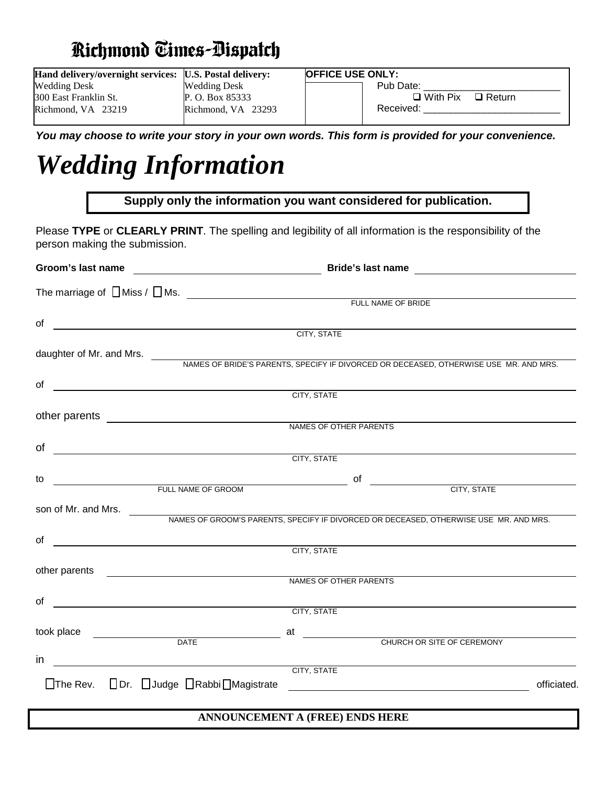## **Richmond Times-Bispatch**

| Hand delivery/overnight services: [U.S. Postal delivery: |                     | <b>OFFICE USE ONLY:</b>          |
|----------------------------------------------------------|---------------------|----------------------------------|
| <b>Wedding Desk</b>                                      | <b>Wedding Desk</b> | Pub Date:                        |
| 300 East Franklin St.                                    | P. O. Box 85333     | $\Box$ With Pix<br>$\Box$ Return |
| Richmond, VA 23219                                       | Richmond, VA 23293  | Received:                        |
|                                                          |                     |                                  |

*You may choose to write your story in your own words. This form is provided for your convenience.*

# *Wedding Information*

|                                                                                                                                                                                                                                      | Supply only the information you want considered for publication.                                                                                                                                                               |  |  |  |  |
|--------------------------------------------------------------------------------------------------------------------------------------------------------------------------------------------------------------------------------------|--------------------------------------------------------------------------------------------------------------------------------------------------------------------------------------------------------------------------------|--|--|--|--|
| person making the submission.                                                                                                                                                                                                        | Please TYPE or CLEARLY PRINT. The spelling and legibility of all information is the responsibility of the                                                                                                                      |  |  |  |  |
|                                                                                                                                                                                                                                      |                                                                                                                                                                                                                                |  |  |  |  |
|                                                                                                                                                                                                                                      | The marriage of $\Box$ Miss / $\Box$ Ms. $\qquad \qquad$ The marriage of $\Box$ Miss / $\Box$ Ms.                                                                                                                              |  |  |  |  |
| of <u>contained a contract of the contract of the contract of the contract of the contract of the contract of the contract of the contract of the contract of the contract of the contract of the contract of the contract of th</u> |                                                                                                                                                                                                                                |  |  |  |  |
|                                                                                                                                                                                                                                      | daughter of Mr. and Mrs. NAMES OF BRIDE'S PARENTS, SPECIFY IF DIVORCED OR DECEASED, OTHERWISE USE MR. AND MRS.                                                                                                                 |  |  |  |  |
|                                                                                                                                                                                                                                      | CITY, STATE                                                                                                                                                                                                                    |  |  |  |  |
| other parents <u>_______________________________</u>                                                                                                                                                                                 | NAMES OF OTHER PARENTS                                                                                                                                                                                                         |  |  |  |  |
| of $\overline{\qquad \qquad }$                                                                                                                                                                                                       |                                                                                                                                                                                                                                |  |  |  |  |
|                                                                                                                                                                                                                                      | CITY, STATE                                                                                                                                                                                                                    |  |  |  |  |
| to                                                                                                                                                                                                                                   | TULL NAME OF GROOM THE CONTROL OF STREET AND RESIDENCE TO A RESIDENCE TO A RESIDENCE TO A RESIDENCE TO A RESIDENCE TO A RESIDENCE TO A RESIDENCE TO A RESIDENCE TO A RESIDENCE TO A RESIDENCE TO A RESIDENCE TO A RESIDENCE TO |  |  |  |  |
|                                                                                                                                                                                                                                      |                                                                                                                                                                                                                                |  |  |  |  |
|                                                                                                                                                                                                                                      | CITY, STATE                                                                                                                                                                                                                    |  |  |  |  |
| other parents ______________________________                                                                                                                                                                                         | NAMES OF OTHER PARENTS                                                                                                                                                                                                         |  |  |  |  |
| of $\qquad \qquad$                                                                                                                                                                                                                   |                                                                                                                                                                                                                                |  |  |  |  |
|                                                                                                                                                                                                                                      | CITY, STATE                                                                                                                                                                                                                    |  |  |  |  |
|                                                                                                                                                                                                                                      | took place <u>example and a characterized</u> at the characterized and characterized at the characterized at the characterized at $\overline{C}$                                                                               |  |  |  |  |
| in                                                                                                                                                                                                                                   |                                                                                                                                                                                                                                |  |  |  |  |
| $\Box$ The Rev. $\Box$ Dr. $\Box$ Judge $\Box$ Rabbi $\Box$ Magistrate                                                                                                                                                               | CITY, STATE<br>officiated.<br><u> 1989 - Johann Barbara, martin amerikan basal dan berasal dan berasal dalam basal dan berasal dalam berasal da</u>                                                                            |  |  |  |  |

#### **ANNOUNCEMENT A (FREE) ENDS HERE**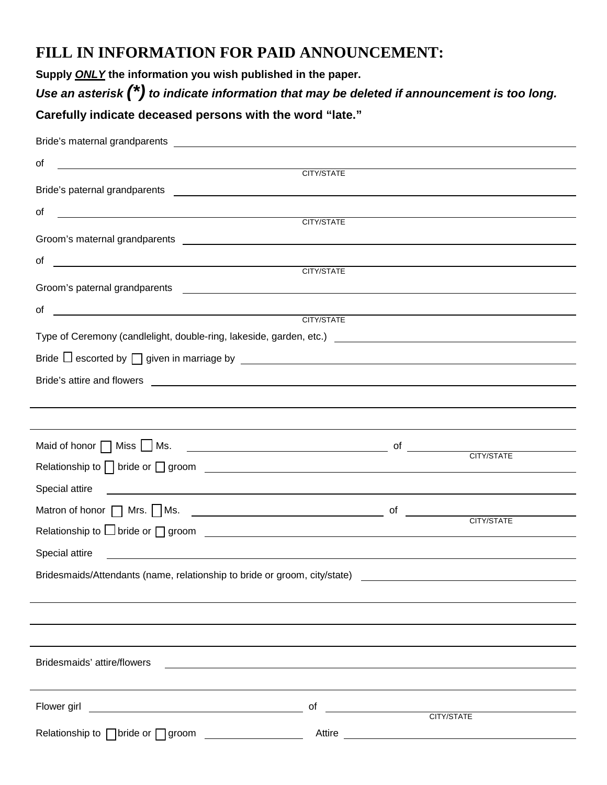## **FILL IN INFORMATION FOR PAID ANNOUNCEMENT:**

**Supply** *ONLY* **the information you wish published in the paper.**

*Use an asterisk (\*) to indicate information that may be deleted if announcement is too long.*

## **Carefully indicate deceased persons with the word "late."**

| of                                                                                                                                                                                                                                   |            |        |
|--------------------------------------------------------------------------------------------------------------------------------------------------------------------------------------------------------------------------------------|------------|--------|
|                                                                                                                                                                                                                                      | CITY/STATE |        |
|                                                                                                                                                                                                                                      |            |        |
| of<br>$\begin{aligned} \mathcal{L}_{\text{max}}(\mathcal{L}_{\text{max}},\mathcal{L}_{\text{max}}) = \mathcal{L}_{\text{max}}(\mathcal{L}_{\text{max}}) \end{aligned} \label{eq:log-1}$                                              | CITY/STATE |        |
|                                                                                                                                                                                                                                      |            |        |
| of <u>CITY/STATE</u>                                                                                                                                                                                                                 |            |        |
|                                                                                                                                                                                                                                      |            |        |
| Groom's paternal grandparents <b>contained a series and a series of the series of the series of the series of the series of the series of the series of the series of the series of the series of the series of the series of th</b> |            |        |
| of <u>CITY/STATE</u>                                                                                                                                                                                                                 |            |        |
| Type of Ceremony (candlelight, double-ring, lakeside, garden, etc.) [1989] [2012] [2013] [2013] [2013] [2014] [2014] [2014] [2014] [2014] [2014] [2014] [2014] [2014] [2014] [2014] [2014] [2014] [2014] [2014] [2014] [2014]        |            |        |
| Bride $\Box$ escorted by $\Box$ given in marriage by $\Box$                                                                                                                                                                          |            |        |
|                                                                                                                                                                                                                                      |            |        |
|                                                                                                                                                                                                                                      |            |        |
|                                                                                                                                                                                                                                      |            |        |
|                                                                                                                                                                                                                                      |            |        |
| Maid of honor $\Box$ Miss $\Box$ Ms.                                                                                                                                                                                                 |            |        |
|                                                                                                                                                                                                                                      |            |        |
| Special attire<br><u> Alexandria de la contrada de la contrada de la contrada de la contrada de la contrada de la contrada de la c</u>                                                                                               |            |        |
| Matron of honor $\Box$ Mrs. $\Box$ Ms.                                                                                                                                                                                               |            |        |
| Relationship to $\Box$ bride or $\Box$ groom $\Box$                                                                                                                                                                                  |            |        |
|                                                                                                                                                                                                                                      |            |        |
| Bridesmaids/Attendants (name, relationship to bride or groom, city/state)                                                                                                                                                            |            |        |
|                                                                                                                                                                                                                                      |            |        |
|                                                                                                                                                                                                                                      |            |        |
|                                                                                                                                                                                                                                      |            |        |
| Bridesmaids' attire/flowers<br><u> 1989 - Johann Johann Stoff, deutscher Stoffen und der Stoffen und der Stoffen und der Stoffen und der Stoffen</u>                                                                                 |            |        |
|                                                                                                                                                                                                                                      |            |        |
| Flower girl <u>Superintended</u> CITY/STATE                                                                                                                                                                                          |            |        |
|                                                                                                                                                                                                                                      |            |        |
| Relationship to <b>bride</b> or groom <b>contained</b>                                                                                                                                                                               |            | Attire |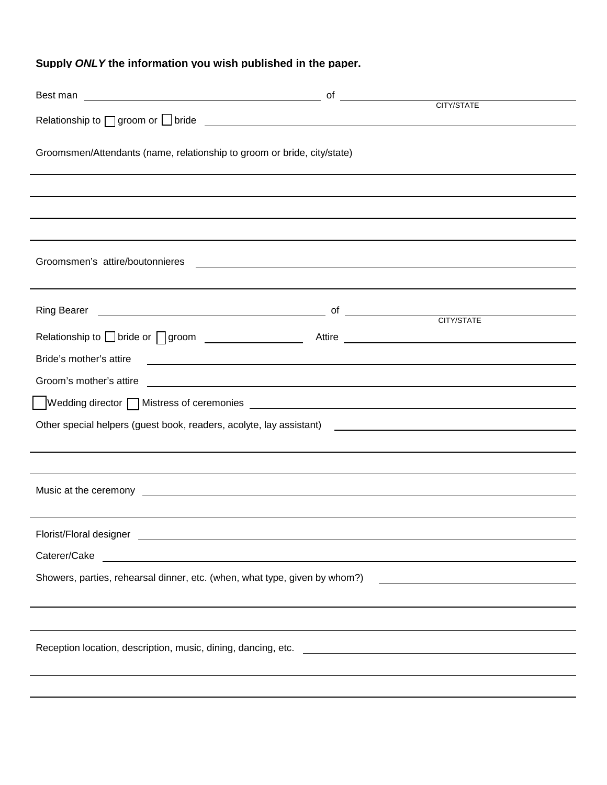### **Supply** *ONLY* **the information you wish published in the paper.**

|                                                                                                                                                                                                                                      |                                                                                                                       | CITY/STATE |
|--------------------------------------------------------------------------------------------------------------------------------------------------------------------------------------------------------------------------------------|-----------------------------------------------------------------------------------------------------------------------|------------|
| Groomsmen/Attendants (name, relationship to groom or bride, city/state)                                                                                                                                                              |                                                                                                                       |            |
|                                                                                                                                                                                                                                      |                                                                                                                       |            |
|                                                                                                                                                                                                                                      |                                                                                                                       |            |
| ,我们也不会有什么。""我们的人,我们也不会有什么?""我们的人,我们也不会有什么?""我们的人,我们也不会有什么?""我们的人,我们也不会有什么?""我们的人                                                                                                                                                     |                                                                                                                       |            |
| Groomsmen's attire/boutonnieres                                                                                                                                                                                                      | <u> 1989 - Johann Harry Harry Harry Harry Harry Harry Harry Harry Harry Harry Harry Harry Harry Harry Harry Harry</u> |            |
|                                                                                                                                                                                                                                      |                                                                                                                       |            |
| Ring Bearer <u>Constantine Communications</u> of Communications of Constantine CITY/STATE                                                                                                                                            |                                                                                                                       |            |
| Relationship to solide or suppose the series of the contract of the contract of the contract of the contract of the contract of the contract of the contract of the contract of the contract of the contract of the contract o       |                                                                                                                       |            |
| Bride's mother's attire                                                                                                                                                                                                              |                                                                                                                       |            |
|                                                                                                                                                                                                                                      |                                                                                                                       |            |
|                                                                                                                                                                                                                                      |                                                                                                                       |            |
| Other special helpers (guest book, readers, acolyte, lay assistant) [1982] [2012] [2013] [2013] [2013] [2014] [                                                                                                                      |                                                                                                                       |            |
|                                                                                                                                                                                                                                      |                                                                                                                       |            |
|                                                                                                                                                                                                                                      |                                                                                                                       |            |
| Music at the ceremony <u>example and the control of the set of the set of the set of the set of the set of the set of the set of the set of the set of the set of the set of the set of the set of the set of the set of the set</u> |                                                                                                                       |            |
|                                                                                                                                                                                                                                      |                                                                                                                       |            |
| Florist/Floral designer                                                                                                                                                                                                              |                                                                                                                       |            |
| Caterer/Cake<br><u> 1989 - Johann Stoff, deutscher Stoff, der Stoff, der Stoff, der Stoff, der Stoff, der Stoff, der Stoff, der S</u>                                                                                                |                                                                                                                       |            |
| Showers, parties, rehearsal dinner, etc. (when, what type, given by whom?)                                                                                                                                                           |                                                                                                                       |            |
|                                                                                                                                                                                                                                      |                                                                                                                       |            |
|                                                                                                                                                                                                                                      |                                                                                                                       |            |
|                                                                                                                                                                                                                                      |                                                                                                                       |            |
|                                                                                                                                                                                                                                      |                                                                                                                       |            |
|                                                                                                                                                                                                                                      |                                                                                                                       |            |